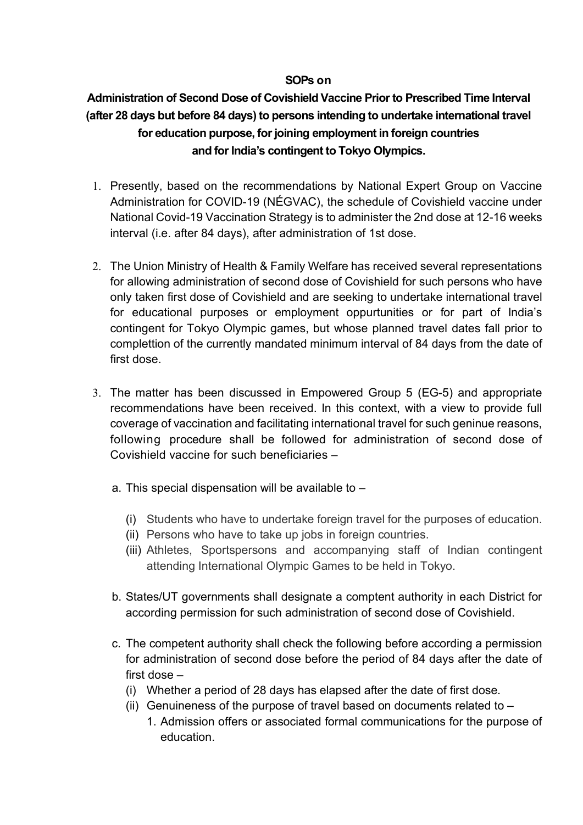## **SOPs on**

## **Administration of Second Dose of Covishield Vaccine Prior to Prescribed Time Interval (after 28 days but before 84 days) to persons intending to undertake international travel for education purpose, for joining employment in foreign countries and for India's contingent to Tokyo Olympics.**

- 1. Presently, based on the recommendations by National Expert Group on Vaccine Administration for COVID-19 (NÉGVAC), the schedule of Covishield vaccine under National Covid-19 Vaccination Strategy is to administer the 2nd dose at 12-16 weeks interval (i.e. after 84 days), after administration of 1st dose.
- 2. The Union Ministry of Health & Family Welfare has received several representations for allowing administration of second dose of Covishield for such persons who have only taken first dose of Covishield and are seeking to undertake international travel for educational purposes or employment oppurtunities or for part of India's contingent for Tokyo Olympic games, but whose planned travel dates fall prior to complettion of the currently mandated minimum interval of 84 days from the date of first dose.
- 3. The matter has been discussed in Empowered Group 5 (EG-5) and appropriate recommendations have been received. In this context, with a view to provide full coverage of vaccination and facilitating international travel for such geninue reasons, following procedure shall be followed for administration of second dose of Covishield vaccine for such beneficiaries –
	- a. This special dispensation will be available to
		- (i) Students who have to undertake foreign travel for the purposes of education.
		- (ii) Persons who have to take up jobs in foreign countries.
		- (iii) Athletes, Sportspersons and accompanying staff of Indian contingent attending International Olympic Games to be held in Tokyo.
	- b. States/UT governments shall designate a comptent authority in each District for according permission for such administration of second dose of Covishield.
	- c. The competent authority shall check the following before according a permission for administration of second dose before the period of 84 days after the date of first dose –
		- (i) Whether a period of 28 days has elapsed after the date of first dose.
		- (ii) Genuineness of the purpose of travel based on documents related to  $-$ 
			- 1. Admission offers or associated formal communications for the purpose of education.